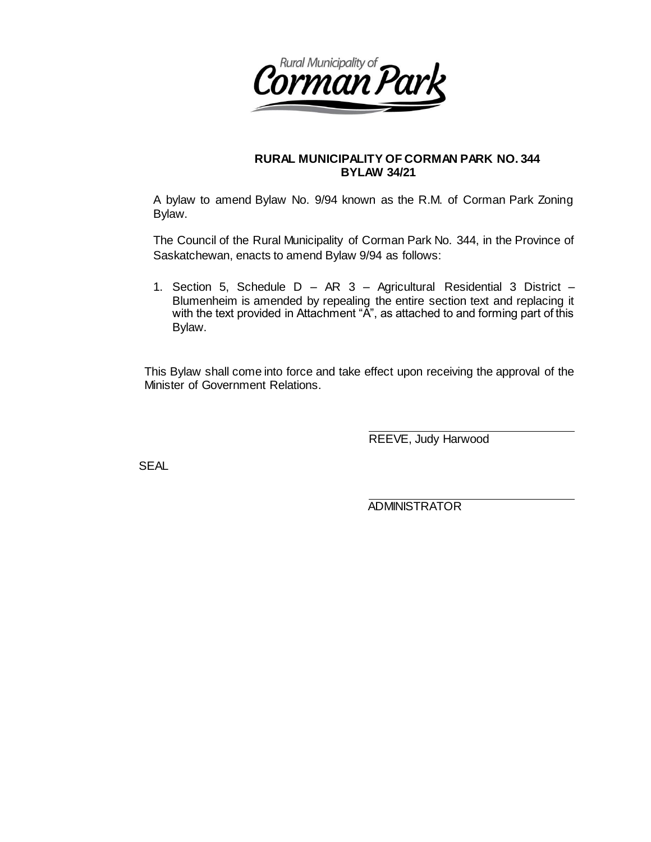

### **RURAL MUNICIPALITY OF CORMAN PARK NO. 344 BYLAW 34/21**

A bylaw to amend Bylaw No. 9/94 known as the R.M. of Corman Park Zoning Bylaw.

The Council of the Rural Municipality of Corman Park No. 344, in the Province of Saskatchewan, enacts to amend Bylaw 9/94 as follows:

1. Section 5, Schedule D – AR 3 – Agricultural Residential 3 District – Blumenheim is amended by repealing the entire section text and replacing it with the text provided in Attachment "A", as attached to and forming part of this Bylaw.

This Bylaw shall come into force and take effect upon receiving the approval of the Minister of Government Relations.

REEVE, Judy Harwood

SEAL

ADMINISTRATOR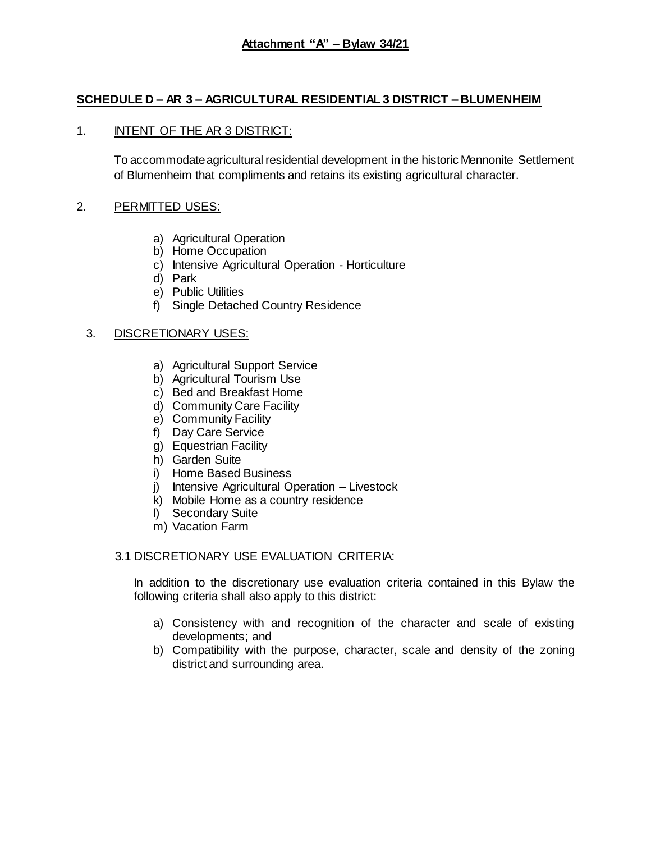# **SCHEDULE D – AR 3 – AGRICULTURAL RESIDENTIAL 3 DISTRICT – BLUMENHEIM**

## 1. INTENT OF THE AR 3 DISTRICT:

To accommodate agricultural residential development in the historic Mennonite Settlement of Blumenheim that compliments and retains its existing agricultural character.

## 2. PERMITTED USES:

- a) Agricultural Operation
- b) Home Occupation
- c) Intensive Agricultural Operation Horticulture
- d) Park
- e) Public Utilities
- f) Single Detached Country Residence

## 3. DISCRETIONARY USES:

- a) Agricultural Support Service
- b) Agricultural Tourism Use
- c) Bed and Breakfast Home
- d) Community Care Facility
- e) Community Facility
- f) Day Care Service
- g) Equestrian Facility
- h) Garden Suite
- i) Home Based Business
- j) Intensive Agricultural Operation Livestock
- k) Mobile Home as a country residence
- l) Secondary Suite
- m) Vacation Farm

## 3.1 DISCRETIONARY USE EVALUATION CRITERIA:

In addition to the discretionary use evaluation criteria contained in this Bylaw the following criteria shall also apply to this district:

- a) Consistency with and recognition of the character and scale of existing developments; and
- b) Compatibility with the purpose, character, scale and density of the zoning district and surrounding area.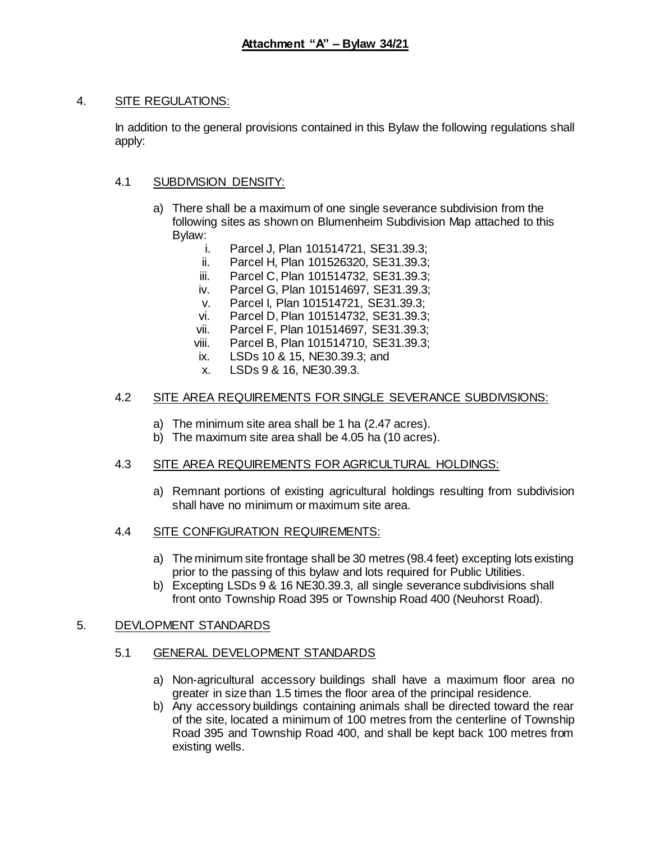### 4. SITE REGULATIONS:

In addition to the general provisions contained in this Bylaw the following regulations shall apply:

## 4.1 SUBDIVISION DENSITY:

- a) There shall be a maximum of one single severance subdivision from the following sites as shown on Blumenheim Subdivision Map attached to this Bylaw:
	- i. Parcel J, Plan 101514721, SE31.39.3;
	- ii. Parcel H, Plan 101526320, SE31.39.3;
	- iii. Parcel C, Plan 101514732, SE31.39.3;
	- iv. Parcel G, Plan 101514697, SE31.39.3;
	- v. Parcel I, Plan 101514721, SE31.39.3;
	- vi. Parcel D, Plan 101514732, SE31.39.3;
	- vii. Parcel F, Plan 101514697, SE31.39.3;
	- viii. Parcel B, Plan 101514710, SE31.39.3;
	- ix. LSDs 10 & 15, NE30.39.3; and
	- x. LSDs 9 & 16, NE30.39.3.

#### 4.2 SITE AREA REQUIREMENTS FOR SINGLE SEVERANCE SUBDIVISIONS:

- a) The minimum site area shall be 1 ha (2.47 acres).
- b) The maximum site area shall be 4.05 ha (10 acres).

## 4.3 SITE AREA REQUIREMENTS FOR AGRICULTURAL HOLDINGS:

- a) Remnant portions of existing agricultural holdings resulting from subdivision shall have no minimum or maximum site area.
- 4.4 SITE CONFIGURATION REQUIREMENTS:
	- a) The minimum site frontage shall be 30 metres (98.4 feet) excepting lots existing prior to the passing of this bylaw and lots required for Public Utilities.
	- b) Excepting LSDs 9 & 16 NE30.39.3, all single severance subdivisions shall front onto Township Road 395 or Township Road 400 (Neuhorst Road).

#### 5. DEVLOPMENT STANDARDS

## 5.1 GENERAL DEVELOPMENT STANDARDS

- a) Non-agricultural accessory buildings shall have a maximum floor area no greater in size than 1.5 times the floor area of the principal residence.
- b) Any accessory buildings containing animals shall be directed toward the rear of the site, located a minimum of 100 metres from the centerline of Township Road 395 and Township Road 400, and shall be kept back 100 metres from existing wells.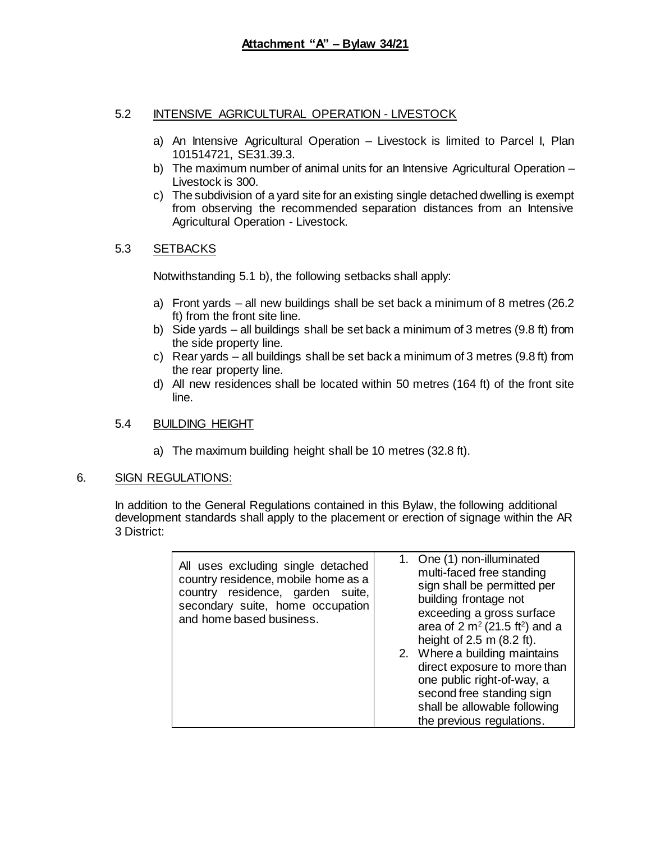## 5.2 INTENSIVE AGRICULTURAL OPERATION - LIVESTOCK

- a) An Intensive Agricultural Operation Livestock is limited to Parcel I, Plan 101514721, SE31.39.3.
- b) The maximum number of animal units for an Intensive Agricultural Operation Livestock is 300.
- c) The subdivision of a yard site for an existing single detached dwelling is exempt from observing the recommended separation distances from an Intensive Agricultural Operation - Livestock.

## 5.3 SETBACKS

Notwithstanding 5.1 b), the following setbacks shall apply:

- a) Front yards all new buildings shall be set back a minimum of 8 metres (26.2 ft) from the front site line.
- b) Side yards all buildings shall be set back a minimum of 3 metres (9.8 ft) from the side property line.
- c) Rear yards all buildings shall be set back a minimum of 3 metres (9.8 ft) from the rear property line.
- d) All new residences shall be located within 50 metres (164 ft) of the front site line.

## 5.4 BUILDING HEIGHT

a) The maximum building height shall be 10 metres (32.8 ft).

#### 6. SIGN REGULATIONS:

In addition to the General Regulations contained in this Bylaw, the following additional development standards shall apply to the placement or erection of signage within the AR 3 District:

| All uses excluding single detached<br>country residence, mobile home as a<br>country residence, garden suite,<br>secondary suite, home occupation<br>and home based business. | 1. One (1) non-illuminated<br>multi-faced free standing<br>sign shall be permitted per<br>building frontage not<br>exceeding a gross surface<br>area of $2 \text{ m}^2 (21.5 \text{ ft}^2)$ and a<br>height of $2.5$ m $(8.2$ ft).<br>2. Where a building maintains<br>direct exposure to more than<br>one public right-of-way, a<br>second free standing sign<br>shall be allowable following<br>the previous regulations. |
|-------------------------------------------------------------------------------------------------------------------------------------------------------------------------------|-----------------------------------------------------------------------------------------------------------------------------------------------------------------------------------------------------------------------------------------------------------------------------------------------------------------------------------------------------------------------------------------------------------------------------|
|-------------------------------------------------------------------------------------------------------------------------------------------------------------------------------|-----------------------------------------------------------------------------------------------------------------------------------------------------------------------------------------------------------------------------------------------------------------------------------------------------------------------------------------------------------------------------------------------------------------------------|